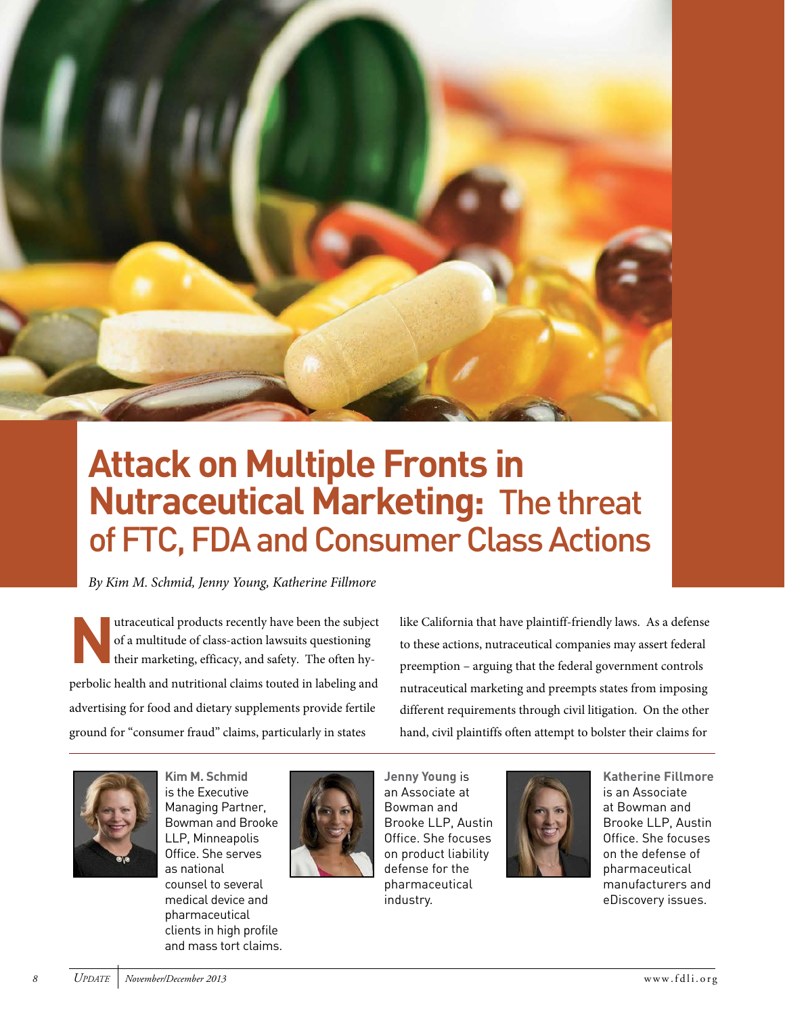

# **Attack on Multiple Fronts in Nutraceutical Marketing:** The threat of FTC, FDA and Consumer Class Actions

By Kim M. Schmid, Jenny Young, Katherine Fillmore

**N** utraceutical products recently have been the subject of a multitude of class-action lawsuits questioning their marketing, efficacy, and safety. The often hyperbolic health and nutritional claims touted in labeling and advertising for food and dietary supplements provide fertile ground for "consumer fraud" claims, particularly in states

like California that have plaintiff-friendly laws. As a defense to these actions, nutraceutical companies may assert federal preemption – arguing that the federal government controls nutraceutical marketing and preempts states from imposing different requirements through civil litigation. On the other hand, civil plaintiffs often attempt to bolster their claims for



**Kim M. Schmid**  is the Executive Managing Partner, Bowman and Brooke LLP, Minneapolis Ofice. She serves as national counsel to several medical device and pharmaceutical clients in high profile and mass tort claims.



an Associate at Bowman and Brooke LLP, Austin Ofice. She focuses on product liability defense for the pharmaceutical industry.

**Jenny Young** is



**Katherine Fillmore**  is an Associate at Bowman and Brooke LLP, Austin Ofice. She focuses on the defense of pharmaceutical manufacturers and eDiscovery issues.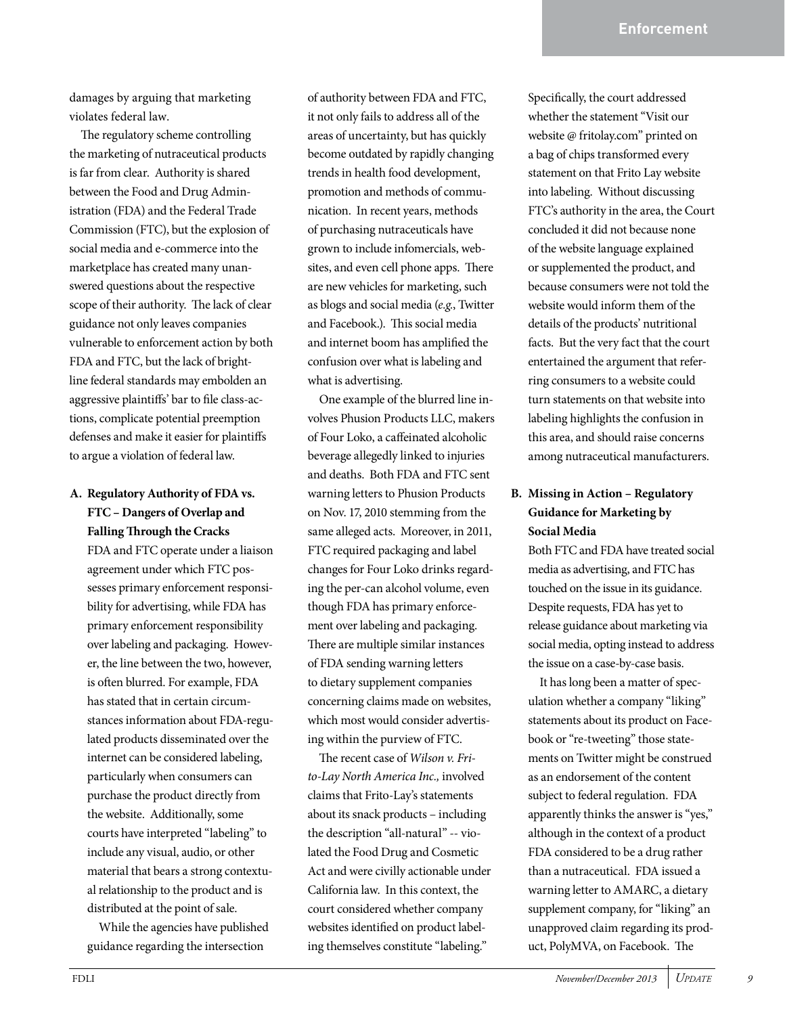damages by arguing that marketing violates federal law.

he regulatory scheme controlling the marketing of nutraceutical products is far from clear. Authority is shared between the Food and Drug Administration (FDA) and the Federal Trade Commission (FTC), but the explosion of social media and e-commerce into the marketplace has created many unanswered questions about the respective scope of their authority. The lack of clear guidance not only leaves companies vulnerable to enforcement action by both FDA and FTC, but the lack of brightline federal standards may embolden an aggressive plaintiffs' bar to file class-actions, complicate potential preemption defenses and make it easier for plaintifs to argue a violation of federal law.

## **A. Regulatory Authority of FDA vs. FTC – Dangers of Overlap and Falling Through the Cracks**

FDA and FTC operate under a liaison agreement under which FTC possesses primary enforcement responsibility for advertising, while FDA has primary enforcement responsibility over labeling and packaging. However, the line between the two, however, is oten blurred. For example, FDA has stated that in certain circumstances information about FDA-regulated products disseminated over the internet can be considered labeling, particularly when consumers can purchase the product directly from the website. Additionally, some courts have interpreted "labeling" to include any visual, audio, or other material that bears a strong contextual relationship to the product and is distributed at the point of sale.

While the agencies have published guidance regarding the intersection

of authority between FDA and FTC, it not only fails to address all of the areas of uncertainty, but has quickly become outdated by rapidly changing trends in health food development, promotion and methods of communication. In recent years, methods of purchasing nutraceuticals have grown to include infomercials, websites, and even cell phone apps. There are new vehicles for marketing, such as blogs and social media (e.g., Twitter and Facebook.). This social media and internet boom has amplified the confusion over what is labeling and what is advertising.

One example of the blurred line involves Phusion Products LLC, makers of Four Loko, a cafeinated alcoholic beverage allegedly linked to injuries and deaths. Both FDA and FTC sent warning letters to Phusion Products on Nov. 17, 2010 stemming from the same alleged acts. Moreover, in 2011, FTC required packaging and label changes for Four Loko drinks regarding the per-can alcohol volume, even though FDA has primary enforcement over labeling and packaging. here are multiple similar instances of FDA sending warning letters to dietary supplement companies concerning claims made on websites, which most would consider advertising within the purview of FTC.

The recent case of Wilson v. Frito-Lay North America Inc., involved claims that Frito-Lay's statements about its snack products – including the description "all-natural" -- violated the Food Drug and Cosmetic Act and were civilly actionable under California law. In this context, the court considered whether company websites identified on product labeling themselves constitute "labeling."

Specifically, the court addressed whether the statement "Visit our website @ fritolay.com" printed on a bag of chips transformed every statement on that Frito Lay website into labeling. Without discussing FTC's authority in the area, the Court concluded it did not because none of the website language explained or supplemented the product, and because consumers were not told the website would inform them of the details of the products' nutritional facts. But the very fact that the court entertained the argument that referring consumers to a website could turn statements on that website into labeling highlights the confusion in this area, and should raise concerns among nutraceutical manufacturers.

## **B. Missing in Action – Regulatory Guidance for Marketing by Social Media**

Both FTC and FDA have treated social media as advertising, and FTC has touched on the issue in its guidance. Despite requests, FDA has yet to release guidance about marketing via social media, opting instead to address the issue on a case-by-case basis.

It has long been a matter of speculation whether a company "liking" statements about its product on Facebook or "re-tweeting" those statements on Twitter might be construed as an endorsement of the content subject to federal regulation. FDA apparently thinks the answer is "yes," although in the context of a product FDA considered to be a drug rather than a nutraceutical. FDA issued a warning letter to AMARC, a dietary supplement company, for "liking" an unapproved claim regarding its product, PolyMVA, on Facebook. The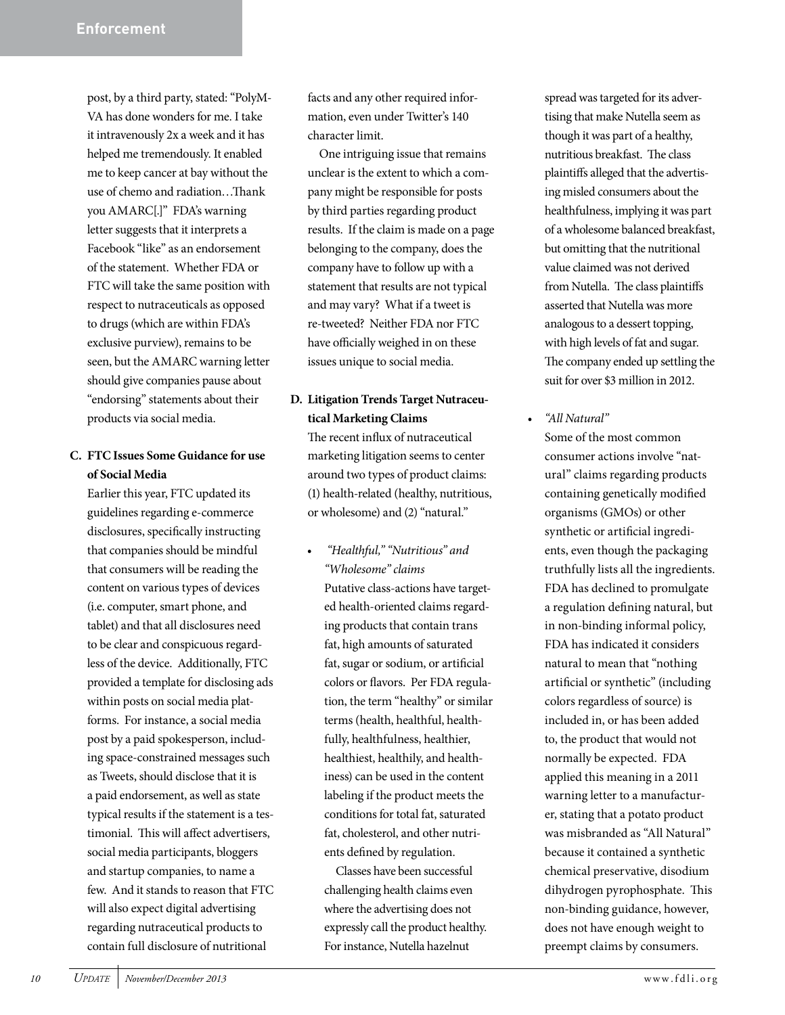post, by a third party, stated: "PolyM-VA has done wonders for me. I take it intravenously 2x a week and it has helped me tremendously. It enabled me to keep cancer at bay without the use of chemo and radiation...Thank you AMARC[.]" FDA's warning letter suggests that it interprets a Facebook "like" as an endorsement of the statement. Whether FDA or FTC will take the same position with respect to nutraceuticals as opposed to drugs (which are within FDA's exclusive purview), remains to be seen, but the AMARC warning letter should give companies pause about "endorsing" statements about their products via social media.

#### **C. FTC Issues Some Guidance for use of Social Media**

Earlier this year, FTC updated its guidelines regarding e-commerce disclosures, specifically instructing that companies should be mindful that consumers will be reading the content on various types of devices (i.e. computer, smart phone, and tablet) and that all disclosures need to be clear and conspicuous regardless of the device. Additionally, FTC provided a template for disclosing ads within posts on social media platforms. For instance, a social media post by a paid spokesperson, including space-constrained messages such as Tweets, should disclose that it is a paid endorsement, as well as state typical results if the statement is a testimonial. This will affect advertisers, social media participants, bloggers and startup companies, to name a few. And it stands to reason that FTC will also expect digital advertising regarding nutraceutical products to contain full disclosure of nutritional

facts and any other required information, even under Twitter's 140 character limit.

One intriguing issue that remains unclear is the extent to which a company might be responsible for posts by third parties regarding product results. If the claim is made on a page belonging to the company, does the company have to follow up with a statement that results are not typical and may vary? What if a tweet is re-tweeted? Neither FDA nor FTC have officially weighed in on these issues unique to social media.

**D. Litigation Trends Target Nutraceutical Marketing Claims**

The recent influx of nutraceutical marketing litigation seems to center around two types of product claims: (1) health-related (healthy, nutritious, or wholesome) and (2) "natural."

"Healthful," "Nutritious" and "Wholesome" claims Putative class-actions have targeted health-oriented claims regarding products that contain trans fat, high amounts of saturated fat, sugar or sodium, or artificial colors or flavors. Per FDA regulation, the term "healthy" or similar terms (health, healthful, healthfully, healthfulness, healthier, healthiest, healthily, and healthiness) can be used in the content labeling if the product meets the conditions for total fat, saturated fat, cholesterol, and other nutrients defined by regulation.

Classes have been successful challenging health claims even where the advertising does not expressly call the product healthy. For instance, Nutella hazelnut

spread was targeted for its advertising that make Nutella seem as though it was part of a healthy, nutritious breakfast. The class plaintifs alleged that the advertising misled consumers about the healthfulness, implying it was part of a wholesome balanced breakfast, but omitting that the nutritional value claimed was not derived from Nutella. The class plaintiffs asserted that Nutella was more analogous to a dessert topping, with high levels of fat and sugar. he company ended up settling the suit for over \$3 million in 2012.

• "All Natural" Some of the most common consumer actions involve "natural" claims regarding products containing genetically modified organisms (GMOs) or other synthetic or artificial ingredients, even though the packaging truthfully lists all the ingredients. FDA has declined to promulgate a regulation defining natural, but in non-binding informal policy, FDA has indicated it considers natural to mean that "nothing artificial or synthetic" (including colors regardless of source) is included in, or has been added to, the product that would not normally be expected. FDA applied this meaning in a 2011 warning letter to a manufacturer, stating that a potato product was misbranded as "All Natural" because it contained a synthetic chemical preservative, disodium dihydrogen pyrophosphate. This non-binding guidance, however, does not have enough weight to preempt claims by consumers.